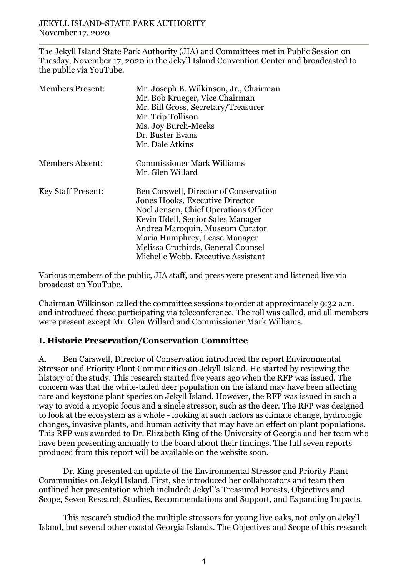The Jekyll Island State Park Authority (JIA) and Committees met in Public Session on Tuesday, November 17, 2020 in the Jekyll Island Convention Center and broadcasted to the public via YouTube.

| <b>Members Present:</b>   | Mr. Joseph B. Wilkinson, Jr., Chairman<br>Mr. Bob Krueger, Vice Chairman<br>Mr. Bill Gross, Secretary/Treasurer<br>Mr. Trip Tollison<br>Ms. Joy Burch-Meeks<br>Dr. Buster Evans<br>Mr. Dale Atkins                                                                                                      |
|---------------------------|---------------------------------------------------------------------------------------------------------------------------------------------------------------------------------------------------------------------------------------------------------------------------------------------------------|
| <b>Members Absent:</b>    | <b>Commissioner Mark Williams</b><br>Mr. Glen Willard                                                                                                                                                                                                                                                   |
| <b>Key Staff Present:</b> | Ben Carswell, Director of Conservation<br>Jones Hooks, Executive Director<br>Noel Jensen, Chief Operations Officer<br>Kevin Udell, Senior Sales Manager<br>Andrea Maroquin, Museum Curator<br>Maria Humphrey, Lease Manager<br>Melissa Cruthirds, General Counsel<br>Michelle Webb, Executive Assistant |

Various members of the public, JIA staff, and press were present and listened live via broadcast on YouTube.

Chairman Wilkinson called the committee sessions to order at approximately 9:32 a.m. and introduced those participating via teleconference. The roll was called, and all members were present except Mr. Glen Willard and Commissioner Mark Williams.

## **I. Historic Preservation/Conservation Committee**

A. Ben Carswell, Director of Conservation introduced the report Environmental Stressor and Priority Plant Communities on Jekyll Island. He started by reviewing the history of the study. This research started five years ago when the RFP was issued. The concern was that the white-tailed deer population on the island may have been affecting rare and keystone plant species on Jekyll Island. However, the RFP was issued in such a way to avoid a myopic focus and a single stressor, such as the deer. The RFP was designed to look at the ecosystem as a whole - looking at such factors as climate change, hydrologic changes, invasive plants, and human activity that may have an effect on plant populations. This RFP was awarded to Dr. Elizabeth King of the University of Georgia and her team who have been presenting annually to the board about their findings. The full seven reports produced from this report will be available on the website soon.

Dr. King presented an update of the Environmental Stressor and Priority Plant Communities on Jekyll Island. First, she introduced her collaborators and team then outlined her presentation which included: Jekyll's Treasured Forests, Objectives and Scope, Seven Research Studies, Recommendations and Support, and Expanding Impacts.

This research studied the multiple stressors for young live oaks, not only on Jekyll Island, but several other coastal Georgia Islands. The Objectives and Scope of this research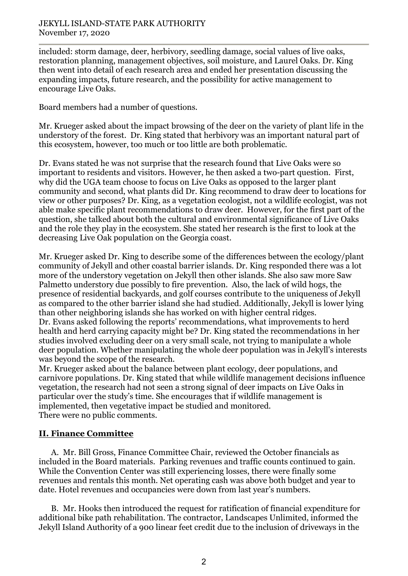included: storm damage, deer, herbivory, seedling damage, social values of live oaks, restoration planning, management objectives, soil moisture, and Laurel Oaks. Dr. King then went into detail of each research area and ended her presentation discussing the expanding impacts, future research, and the possibility for active management to encourage Live Oaks.

Board members had a number of questions.

Mr. Krueger asked about the impact browsing of the deer on the variety of plant life in the understory of the forest. Dr. King stated that herbivory was an important natural part of this ecosystem, however, too much or too little are both problematic.

Dr. Evans stated he was not surprise that the research found that Live Oaks were so important to residents and visitors. However, he then asked a two-part question. First, why did the UGA team choose to focus on Live Oaks as opposed to the larger plant community and second, what plants did Dr. King recommend to draw deer to locations for view or other purposes? Dr. King, as a vegetation ecologist, not a wildlife ecologist, was not able make specific plant recommendations to draw deer. However, for the first part of the question, she talked about both the cultural and environmental significance of Live Oaks and the role they play in the ecosystem. She stated her research is the first to look at the decreasing Live Oak population on the Georgia coast.

Mr. Krueger asked Dr. King to describe some of the differences between the ecology/plant community of Jekyll and other coastal barrier islands. Dr. King responded there was a lot more of the understory vegetation on Jekyll then other islands. She also saw more Saw Palmetto understory due possibly to fire prevention. Also, the lack of wild hogs, the presence of residential backyards, and golf courses contribute to the uniqueness of Jekyll as compared to the other barrier island she had studied. Additionally, Jekyll is lower lying than other neighboring islands she has worked on with higher central ridges. Dr. Evans asked following the reports' recommendations, what improvements to herd health and herd carrying capacity might be? Dr. King stated the recommendations in her studies involved excluding deer on a very small scale, not trying to manipulate a whole deer population. Whether manipulating the whole deer population was in Jekyll's interests was beyond the scope of the research.

Mr. Krueger asked about the balance between plant ecology, deer populations, and carnivore populations. Dr. King stated that while wildlife management decisions influence vegetation, the research had not seen a strong signal of deer impacts on Live Oaks in particular over the study's time. She encourages that if wildlife management is implemented, then vegetative impact be studied and monitored. There were no public comments.

## **II. Finance Committee**

A. Mr. Bill Gross, Finance Committee Chair, reviewed the October financials as included in the Board materials. Parking revenues and traffic counts continued to gain. While the Convention Center was still experiencing losses, there were finally some revenues and rentals this month. Net operating cash was above both budget and year to date. Hotel revenues and occupancies were down from last year's numbers.

B. Mr. Hooks then introduced the request for ratification of financial expenditure for additional bike path rehabilitation. The contractor, Landscapes Unlimited, informed the Jekyll Island Authority of a 900 linear feet credit due to the inclusion of driveways in the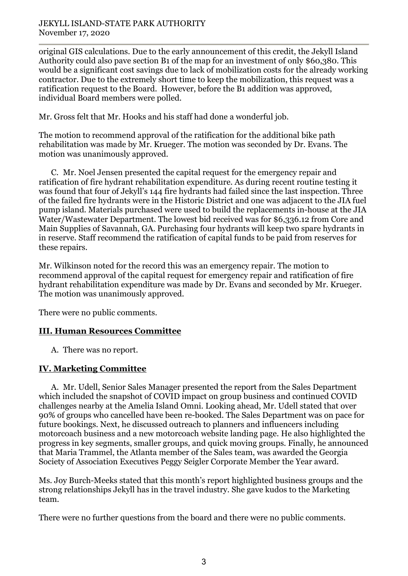original GIS calculations. Due to the early announcement of this credit, the Jekyll Island Authority could also pave section B1 of the map for an investment of only \$60,380. This would be a significant cost savings due to lack of mobilization costs for the already working contractor. Due to the extremely short time to keep the mobilization, this request was a ratification request to the Board. However, before the B1 addition was approved, individual Board members were polled.

Mr. Gross felt that Mr. Hooks and his staff had done a wonderful job.

The motion to recommend approval of the ratification for the additional bike path rehabilitation was made by Mr. Krueger. The motion was seconded by Dr. Evans. The motion was unanimously approved.

C. Mr. Noel Jensen presented the capital request for the emergency repair and ratification of fire hydrant rehabilitation expenditure. As during recent routine testing it was found that four of Jekyll's 144 fire hydrants had failed since the last inspection. Three of the failed fire hydrants were in the Historic District and one was adjacent to the JIA fuel pump island. Materials purchased were used to build the replacements in-house at the JIA Water/Wastewater Department. The lowest bid received was for \$6,336.12 from Core and Main Supplies of Savannah, GA. Purchasing four hydrants will keep two spare hydrants in in reserve. Staff recommend the ratification of capital funds to be paid from reserves for these repairs.

Mr. Wilkinson noted for the record this was an emergency repair. The motion to recommend approval of the capital request for emergency repair and ratification of fire hydrant rehabilitation expenditure was made by Dr. Evans and seconded by Mr. Krueger. The motion was unanimously approved.

There were no public comments.

## **III. Human Resources Committee**

A. There was no report.

## **IV. Marketing Committee**

A. Mr. Udell, Senior Sales Manager presented the report from the Sales Department which included the snapshot of COVID impact on group business and continued COVID challenges nearby at the Amelia Island Omni. Looking ahead, Mr. Udell stated that over 90% of groups who cancelled have been re-booked. The Sales Department was on pace for future bookings. Next, he discussed outreach to planners and influencers including motorcoach business and a new motorcoach website landing page. He also highlighted the progress in key segments, smaller groups, and quick moving groups. Finally, he announced that Maria Trammel, the Atlanta member of the Sales team, was awarded the Georgia Society of Association Executives Peggy Seigler Corporate Member the Year award.

Ms. Joy Burch-Meeks stated that this month's report highlighted business groups and the strong relationships Jekyll has in the travel industry. She gave kudos to the Marketing team.

There were no further questions from the board and there were no public comments.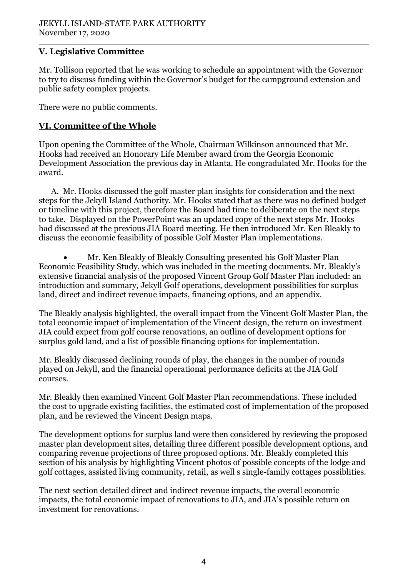# **V. Legislative Committee**

Mr. Tollison reported that he was working to schedule an appointment with the Governor to try to discuss funding within the Governor's budget for the campground extension and public safety complex projects.

There were no public comments.

# **VI. Committee of the Whole**

Upon opening the Committee of the Whole, Chairman Wilkinson announced that Mr. Hooks had received an Honorary Life Member award from the Georgia Economic Development Association the previous day in Atlanta. He congradulated Mr. Hooks for the award.

A. Mr. Hooks discussed the golf master plan insights for consideration and the next steps for the Jekyll Island Authority. Mr. Hooks stated that as there was no defined budget or timeline with this project, therefore the Board had time to deliberate on the next steps to take. Displayed on the PowerPoint was an updated copy of the next steps Mr. Hooks had discussed at the previous JIA Board meeting. He then introduced Mr. Ken Bleakly to discuss the economic feasibility of possible Golf Master Plan implementations.

• Mr. Ken Bleakly of Bleakly Consulting presented his Golf Master Plan Economic Feasibility Study, which was included in the meeting documents. Mr. Bleakly's extensive financial analysis of the proposed Vincent Group Golf Master Plan included: an introduction and summary, Jekyll Golf operations, development possibilities for surplus land, direct and indirect revenue impacts, financing options, and an appendix.

The Bleakly analysis highlighted, the overall impact from the Vincent Golf Master Plan, the total economic impact of implementation of the Vincent design, the return on investment JIA could expect from golf course renovations, an outline of development options for surplus gold land, and a list of possible financing options for implementation.

Mr. Bleakly discussed declining rounds of play, the changes in the number of rounds played on Jekyll, and the financial operational performance deficits at the JIA Golf courses.

Mr. Bleakly then examined Vincent Golf Master Plan recommendations. These included the cost to upgrade existing facilities, the estimated cost of implementation of the proposed plan, and he reviewed the Vincent Design maps.

The development options for surplus land were then considered by reviewing the proposed master plan development sites, detailing three different possible development options, and comparing revenue projections of three proposed options. Mr. Bleakly completed this section of his analysis by highlighting Vincent photos of possible concepts of the lodge and golf cottages, assisted living community, retail, as well s single-family cottages possiblities.

The next section detailed direct and indirect revenue impacts, the overall economic impacts, the total economic impact of renovations to JIA, and JIA's possible return on investment for renovations.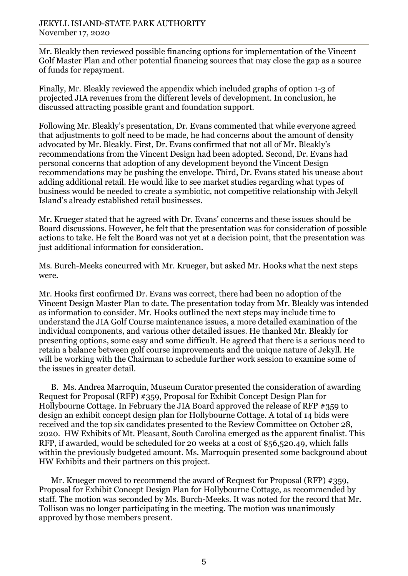Mr. Bleakly then reviewed possible financing options for implementation of the Vincent Golf Master Plan and other potential financing sources that may close the gap as a source of funds for repayment.

Finally, Mr. Bleakly reviewed the appendix which included graphs of option 1-3 of projected JIA revenues from the different levels of development. In conclusion, he discussed attracting possible grant and foundation support.

Following Mr. Bleakly's presentation, Dr. Evans commented that while everyone agreed that adjustments to golf need to be made, he had concerns about the amount of density advocated by Mr. Bleakly. First, Dr. Evans confirmed that not all of Mr. Bleakly's recommendations from the Vincent Design had been adopted. Second, Dr. Evans had personal concerns that adoption of any development beyond the Vincent Design recommendations may be pushing the envelope. Third, Dr. Evans stated his unease about adding additional retail. He would like to see market studies regarding what types of business would be needed to create a symbiotic, not competitive relationship with Jekyll Island's already established retail businesses.

Mr. Krueger stated that he agreed with Dr. Evans' concerns and these issues should be Board discussions. However, he felt that the presentation was for consideration of possible actions to take. He felt the Board was not yet at a decision point, that the presentation was just additional information for consideration.

Ms. Burch-Meeks concurred with Mr. Krueger, but asked Mr. Hooks what the next steps were.

Mr. Hooks first confirmed Dr. Evans was correct, there had been no adoption of the Vincent Design Master Plan to date. The presentation today from Mr. Bleakly was intended as information to consider. Mr. Hooks outlined the next steps may include time to understand the JIA Golf Course maintenance issues, a more detailed examination of the individual components, and various other detailed issues. He thanked Mr. Bleakly for presenting options, some easy and some difficult. He agreed that there is a serious need to retain a balance between golf course improvements and the unique nature of Jekyll. He will be working with the Chairman to schedule further work session to examine some of the issues in greater detail.

B. Ms. Andrea Marroquin, Museum Curator presented the consideration of awarding Request for Proposal (RFP) #359, Proposal for Exhibit Concept Design Plan for Hollybourne Cottage. In February the JIA Board approved the release of RFP #359 to design an exhibit concept design plan for Hollybourne Cottage. A total of 14 bids were received and the top six candidates presented to the Review Committee on October 28, 2020. HW Exhibits of Mt. Pleasant, South Carolina emerged as the apparent finalist. This RFP, if awarded, would be scheduled for 20 weeks at a cost of \$56,520.49, which falls within the previously budgeted amount. Ms. Marroquin presented some background about HW Exhibits and their partners on this project.

Mr. Krueger moved to recommend the award of Request for Proposal (RFP) #359, Proposal for Exhibit Concept Design Plan for Hollybourne Cottage, as recommended by staff. The motion was seconded by Ms. Burch-Meeks. It was noted for the record that Mr. Tollison was no longer participating in the meeting. The motion was unanimously approved by those members present.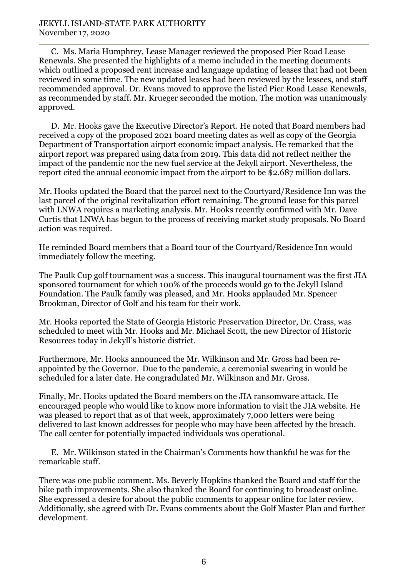C. Ms. Maria Humphrey, Lease Manager reviewed the proposed Pier Road Lease Renewals. She presented the highlights of a memo included in the meeting documents which outlined a proposed rent increase and language updating of leases that had not been reviewed in some time. The new updated leases had been reviewed by the lessees, and staff recommended approval. Dr. Evans moved to approve the listed Pier Road Lease Renewals, as recommended by staff. Mr. Krueger seconded the motion. The motion was unanimously approved.

D. Mr. Hooks gave the Executive Director's Report. He noted that Board members had received a copy of the proposed 2021 board meeting dates as well as copy of the Georgia Department of Transportation airport economic impact analysis. He remarked that the airport report was prepared using data from 2019. This data did not reflect neither the impact of the pandemic nor the new fuel service at the Jekyll airport. Nevertheless, the report cited the annual economic impact from the airport to be \$2.687 million dollars.

Mr. Hooks updated the Board that the parcel next to the Courtyard/Residence Inn was the last parcel of the original revitalization effort remaining. The ground lease for this parcel with LNWA requires a marketing analysis. Mr. Hooks recently confirmed with Mr. Dave Curtis that LNWA has begun to the process of receiving market study proposals. No Board action was required.

He reminded Board members that a Board tour of the Courtyard/Residence Inn would immediately follow the meeting.

The Paulk Cup golf tournament was a success. This inaugural tournament was the first JIA sponsored tournament for which 100% of the proceeds would go to the Jekyll Island Foundation. The Paulk family was pleased, and Mr. Hooks applauded Mr. Spencer Brookman, Director of Golf and his team for their work.

Mr. Hooks reported the State of Georgia Historic Preservation Director, Dr. Crass, was scheduled to meet with Mr. Hooks and Mr. Michael Scott, the new Director of Historic Resources today in Jekyll's historic district.

Furthermore, Mr. Hooks announced the Mr. Wilkinson and Mr. Gross had been reappointed by the Governor. Due to the pandemic, a ceremonial swearing in would be scheduled for a later date. He congradulated Mr. Wilkinson and Mr. Gross.

Finally, Mr. Hooks updated the Board members on the JIA ransomware attack. He encouraged people who would like to know more information to visit the JIA website. He was pleased to report that as of that week, approximately 7,000 letters were being delivered to last known addresses for people who may have been affected by the breach. The call center for potentially impacted individuals was operational.

E. Mr. Wilkinson stated in the Chairman's Comments how thankful he was for the remarkable staff.

There was one public comment. Ms. Beverly Hopkins thanked the Board and staff for the bike path improvements. She also thanked the Board for continuing to broadcast online. She expressed a desire for about the public comments to appear online for later review. Additionally, she agreed with Dr. Evans comments about the Golf Master Plan and further development.